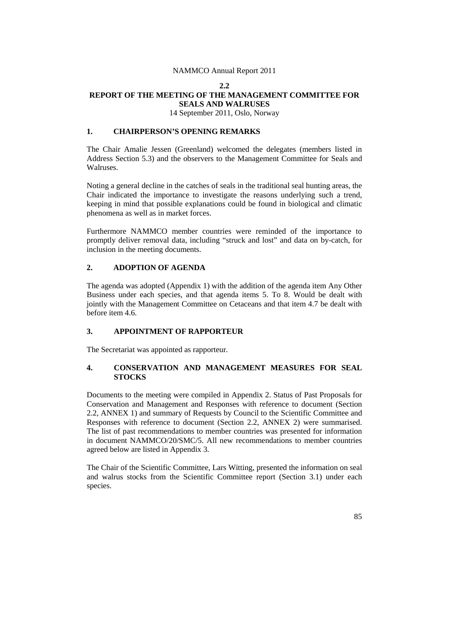#### **2.2**

## **REPORT OF THE MEETING OF THE MANAGEMENT COMMITTEE FOR SEALS AND WALRUSES**

14 September 2011, Oslo, Norway

# **1. CHAIRPERSON'S OPENING REMARKS**

The Chair Amalie Jessen (Greenland) welcomed the delegates (members listed in Address Section 5.3) and the observers to the Management Committee for Seals and Walruses.

Noting a general decline in the catches of seals in the traditional seal hunting areas, the Chair indicated the importance to investigate the reasons underlying such a trend, keeping in mind that possible explanations could be found in biological and climatic phenomena as well as in market forces.

Furthermore NAMMCO member countries were reminded of the importance to promptly deliver removal data, including "struck and lost" and data on by-catch, for inclusion in the meeting documents.

# **2. ADOPTION OF AGENDA**

The agenda was adopted (Appendix 1) with the addition of the agenda item Any Other Business under each species, and that agenda items 5. To 8. Would be dealt with jointly with the Management Committee on Cetaceans and that item 4.7 be dealt with before item 4.6.

## **3. APPOINTMENT OF RAPPORTEUR**

The Secretariat was appointed as rapporteur.

# **4. CONSERVATION AND MANAGEMENT MEASURES FOR SEAL STOCKS**

Documents to the meeting were compiled in Appendix 2. Status of Past Proposals for Conservation and Management and Responses with reference to document (Section 2.2, ANNEX 1) and summary of Requests by Council to the Scientific Committee and Responses with reference to document (Section 2.2, ANNEX 2) were summarised. The list of past recommendations to member countries was presented for information in document NAMMCO/20/SMC/5. All new recommendations to member countries agreed below are listed in Appendix 3.

The Chair of the Scientific Committee, Lars Witting, presented the information on seal and walrus stocks from the Scientific Committee report (Section 3.1) under each species.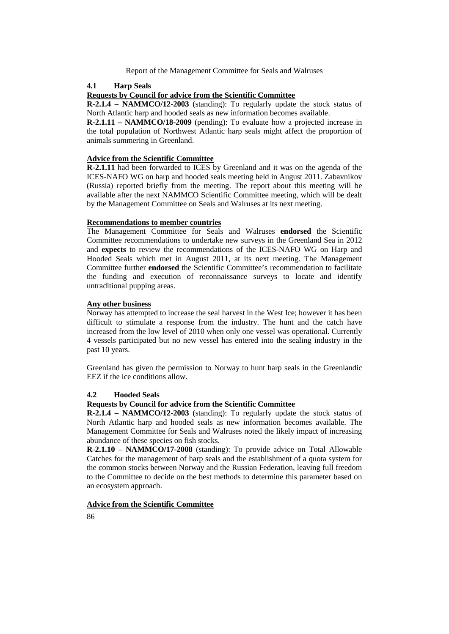#### **4.1 Harp Seals**

## **Requests by Council for advice from the Scientific Committee**

**R-2.1.4 – NAMMCO/12-2003** (standing): To regularly update the stock status of North Atlantic harp and hooded seals as new information becomes available.

**R-2.1.11 – NAMMCO/18-2009** (pending): To evaluate how a projected increase in the total population of Northwest Atlantic harp seals might affect the proportion of animals summering in Greenland.

## **Advice from the Scientific Committee**

**R-2.1.11** had been forwarded to ICES by Greenland and it was on the agenda of the ICES-NAFO WG on harp and hooded seals meeting held in August 2011. Zabavnikov (Russia) reported briefly from the meeting. The report about this meeting will be available after the next NAMMCO Scientific Committee meeting, which will be dealt by the Management Committee on Seals and Walruses at its next meeting.

# **Recommendations to member countries**

The Management Committee for Seals and Walruses **endorsed** the Scientific Committee recommendations to undertake new surveys in the Greenland Sea in 2012 and **expects** to review the recommendations of the ICES-NAFO WG on Harp and Hooded Seals which met in August 2011, at its next meeting. The Management Committee further **endorsed** the Scientific Committee's recommendation to facilitate the funding and execution of reconnaissance surveys to locate and identify untraditional pupping areas.

# **Any other business**

Norway has attempted to increase the seal harvest in the West Ice; however it has been difficult to stimulate a response from the industry. The hunt and the catch have increased from the low level of 2010 when only one vessel was operational. Currently 4 vessels participated but no new vessel has entered into the sealing industry in the past 10 years.

Greenland has given the permission to Norway to hunt harp seals in the Greenlandic EEZ if the ice conditions allow.

## **4.2 Hooded Seals**

## **Requests by Council for advice from the Scientific Committee**

**R-2.1.4 – NAMMCO/12-2003** (standing): To regularly update the stock status of North Atlantic harp and hooded seals as new information becomes available. The Management Committee for Seals and Walruses noted the likely impact of increasing abundance of these species on fish stocks.

**R**-**2.1.10 – NAMMCO/17-2008** (standing): To provide advice on Total Allowable Catches for the management of harp seals and the establishment of a quota system for the common stocks between Norway and the Russian Federation, leaving full freedom to the Committee to decide on the best methods to determine this parameter based on an ecosystem approach.

## **Advice from the Scientific Committee**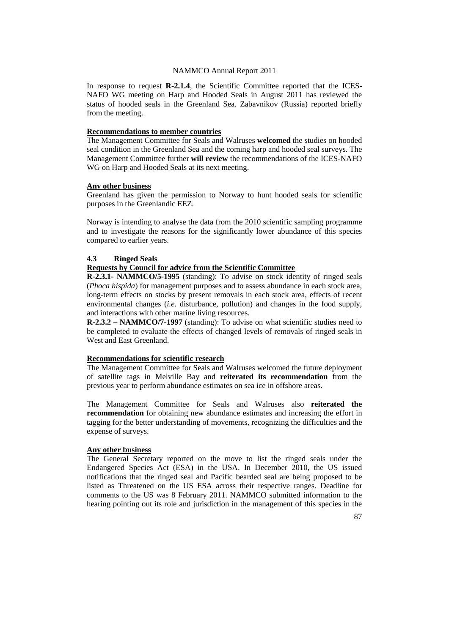In response to request **R-2.1.4**, the Scientific Committee reported that the ICES-NAFO WG meeting on Harp and Hooded Seals in August 2011 has reviewed the status of hooded seals in the Greenland Sea. Zabavnikov (Russia) reported briefly from the meeting.

# **Recommendations to member countries**

The Management Committee for Seals and Walruses **welcomed** the studies on hooded seal condition in the Greenland Sea and the coming harp and hooded seal surveys. The Management Committee further **will review** the recommendations of the ICES-NAFO WG on Harp and Hooded Seals at its next meeting.

#### **Any other business**

Greenland has given the permission to Norway to hunt hooded seals for scientific purposes in the Greenlandic EEZ.

Norway is intending to analyse the data from the 2010 scientific sampling programme and to investigate the reasons for the significantly lower abundance of this species compared to earlier years.

#### **4.3 Ringed Seals**

# **Requests by Council for advice from the Scientific Committee**

**R-2.3.1- NAMMCO/5-1995** (standing): To advise on stock identity of ringed seals (*Phoca hispida*) for management purposes and to assess abundance in each stock area, long-term effects on stocks by present removals in each stock area, effects of recent environmental changes (*i.e.* disturbance, pollution) and changes in the food supply, and interactions with other marine living resources.

**R-2.3.2 – NAMMCO/7-1997** (standing): To advise on what scientific studies need to be completed to evaluate the effects of changed levels of removals of ringed seals in West and East Greenland.

# **Recommendations for scientific research**

The Management Committee for Seals and Walruses welcomed the future deployment of satellite tags in Melville Bay and **reiterated its recommendation** from the previous year to perform abundance estimates on sea ice in offshore areas.

The Management Committee for Seals and Walruses also **reiterated the recommendation** for obtaining new abundance estimates and increasing the effort in tagging for the better understanding of movements, recognizing the difficulties and the expense of surveys.

# **Any other business**

The General Secretary reported on the move to list the ringed seals under the Endangered Species Act (ESA) in the USA. In December 2010, the US issued notifications that the ringed seal and Pacific bearded seal are being proposed to be listed as Threatened on the US ESA across their respective ranges. Deadline for comments to the US was 8 February 2011. NAMMCO submitted information to the hearing pointing out its role and jurisdiction in the management of this species in the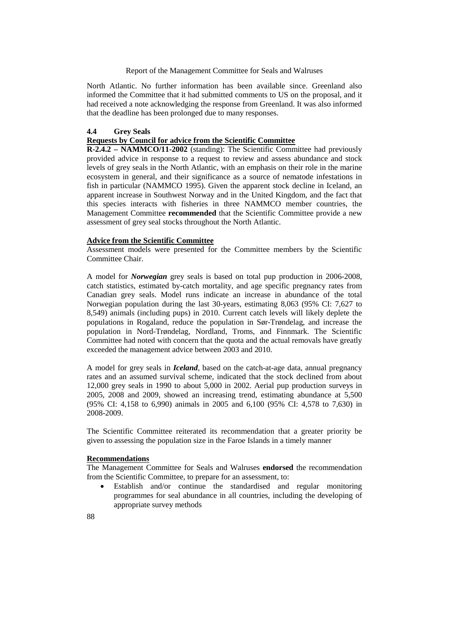North Atlantic. No further information has been available since. Greenland also informed the Committee that it had submitted comments to US on the proposal, and it had received a note acknowledging the response from Greenland. It was also informed that the deadline has been prolonged due to many responses.

#### **4.4 Grey Seals**

#### **Requests by Council for advice from the Scientific Committee**

**R-2.4.2 – NAMMCO/11-2002** (standing): The Scientific Committee had previously provided advice in response to a request to review and assess abundance and stock levels of grey seals in the North Atlantic, with an emphasis on their role in the marine ecosystem in general, and their significance as a source of nematode infestations in fish in particular (NAMMCO 1995). Given the apparent stock decline in Iceland, an apparent increase in Southwest Norway and in the United Kingdom, and the fact that this species interacts with fisheries in three NAMMCO member countries, the Management Committee **recommended** that the Scientific Committee provide a new assessment of grey seal stocks throughout the North Atlantic.

## **Advice from the Scientific Committee**

Assessment models were presented for the Committee members by the Scientific Committee Chair.

A model for *Norwegian* grey seals is based on total pup production in 2006-2008, catch statistics, estimated by-catch mortality, and age specific pregnancy rates from Canadian grey seals. Model runs indicate an increase in abundance of the total Norwegian population during the last 30-years, estimating 8,063 (95% CI: 7,627 to 8,549) animals (including pups) in 2010. Current catch levels will likely deplete the populations in Rogaland, reduce the population in Sør-Trøndelag, and increase the population in Nord-Trøndelag, Nordland, Troms, and Finnmark. The Scientific Committee had noted with concern that the quota and the actual removals have greatly exceeded the management advice between 2003 and 2010.

A model for grey seals in *Iceland*, based on the catch-at-age data, annual pregnancy rates and an assumed survival scheme, indicated that the stock declined from about 12,000 grey seals in 1990 to about 5,000 in 2002. Aerial pup production surveys in 2005, 2008 and 2009, showed an increasing trend, estimating abundance at 5,500 (95% CI: 4,158 to 6,990) animals in 2005 and 6,100 (95% CI: 4,578 to 7,630) in 2008-2009.

The Scientific Committee reiterated its recommendation that a greater priority be given to assessing the population size in the Faroe Islands in a timely manner

## **Recommendations**

The Management Committee for Seals and Walruses **endorsed** the recommendation from the Scientific Committee, to prepare for an assessment, to:

- Establish and/or continue the standardised and regular monitoring programmes for seal abundance in all countries, including the developing of appropriate survey methods
- 88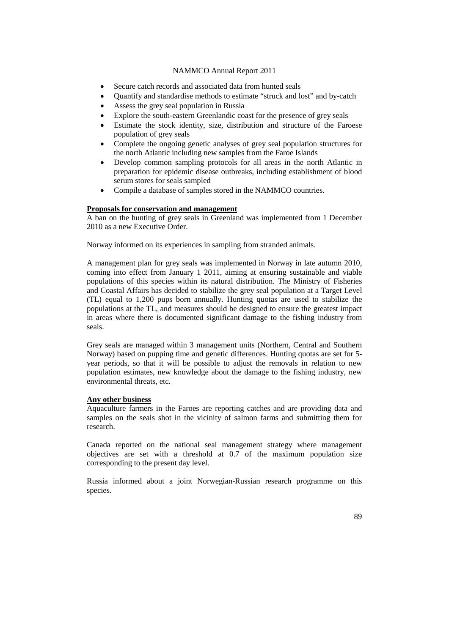- Secure catch records and associated data from hunted seals
- Quantify and standardise methods to estimate "struck and lost" and by-catch
- Assess the grey seal population in Russia
- Explore the south-eastern Greenlandic coast for the presence of grey seals
- Estimate the stock identity, size, distribution and structure of the Faroese population of grey seals
- Complete the ongoing genetic analyses of grey seal population structures for the north Atlantic including new samples from the Faroe Islands
- Develop common sampling protocols for all areas in the north Atlantic in preparation for epidemic disease outbreaks, including establishment of blood serum stores for seals sampled
- Compile a database of samples stored in the NAMMCO countries.

#### **Proposals for conservation and management**

A ban on the hunting of grey seals in Greenland was implemented from 1 December 2010 as a new Executive Order.

Norway informed on its experiences in sampling from stranded animals.

A management plan for grey seals was implemented in Norway in late autumn 2010, coming into effect from January 1 2011, aiming at ensuring sustainable and viable populations of this species within its natural distribution. The Ministry of Fisheries and Coastal Affairs has decided to stabilize the grey seal population at a Target Level (TL) equal to 1,200 pups born annually. Hunting quotas are used to stabilize the populations at the TL, and measures should be designed to ensure the greatest impact in areas where there is documented significant damage to the fishing industry from seals.

Grey seals are managed within 3 management units (Northern, Central and Southern Norway) based on pupping time and genetic differences. Hunting quotas are set for 5 year periods, so that it will be possible to adjust the removals in relation to new population estimates, new knowledge about the damage to the fishing industry, new environmental threats, etc.

## **Any other business**

Aquaculture farmers in the Faroes are reporting catches and are providing data and samples on the seals shot in the vicinity of salmon farms and submitting them for research.

Canada reported on the national seal management strategy where management objectives are set with a threshold at 0.7 of the maximum population size corresponding to the present day level.

Russia informed about a joint Norwegian-Russian research programme on this species.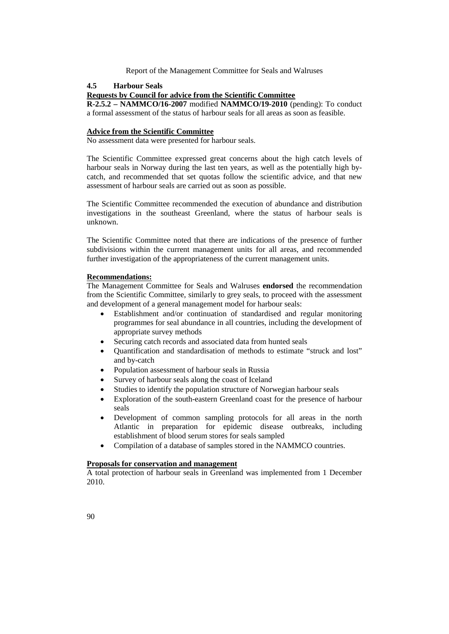# **4.5 Harbour Seals**

#### **Requests by Council for advice from the Scientific Committee**

**R-2.5.2 – NAMMCO/16-2007** modified **NAMMCO/19-2010** (pending): To conduct a formal assessment of the status of harbour seals for all areas as soon as feasible.

## **Advice from the Scientific Committee**

No assessment data were presented for harbour seals.

The Scientific Committee expressed great concerns about the high catch levels of harbour seals in Norway during the last ten years, as well as the potentially high bycatch, and recommended that set quotas follow the scientific advice, and that new assessment of harbour seals are carried out as soon as possible.

The Scientific Committee recommended the execution of abundance and distribution investigations in the southeast Greenland, where the status of harbour seals is unknown.

The Scientific Committee noted that there are indications of the presence of further subdivisions within the current management units for all areas, and recommended further investigation of the appropriateness of the current management units.

# **Recommendations:**

The Management Committee for Seals and Walruses **endorsed** the recommendation from the Scientific Committee, similarly to grey seals, to proceed with the assessment and development of a general management model for harbour seals:

- Establishment and/or continuation of standardised and regular monitoring programmes for seal abundance in all countries, including the development of appropriate survey methods
- Securing catch records and associated data from hunted seals
- Quantification and standardisation of methods to estimate "struck and lost" and by-catch
- Population assessment of harbour seals in Russia
- Survey of harbour seals along the coast of Iceland
- Studies to identify the population structure of Norwegian harbour seals
- Exploration of the south-eastern Greenland coast for the presence of harbour seals
- Development of common sampling protocols for all areas in the north Atlantic in preparation for epidemic disease outbreaks, including establishment of blood serum stores for seals sampled
- Compilation of a database of samples stored in the NAMMCO countries.

# **Proposals for conservation and management**

A total protection of harbour seals in Greenland was implemented from 1 December 2010.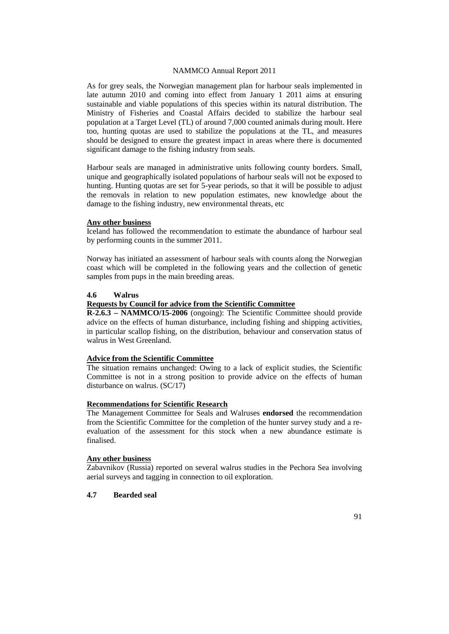As for grey seals, the Norwegian management plan for harbour seals implemented in late autumn 2010 and coming into effect from January 1 2011 aims at ensuring sustainable and viable populations of this species within its natural distribution. The Ministry of Fisheries and Coastal Affairs decided to stabilize the harbour seal population at a Target Level (TL) of around 7,000 counted animals during moult. Here too, hunting quotas are used to stabilize the populations at the TL, and measures should be designed to ensure the greatest impact in areas where there is documented significant damage to the fishing industry from seals.

Harbour seals are managed in administrative units following county borders. Small, unique and geographically isolated populations of harbour seals will not be exposed to hunting. Hunting quotas are set for 5-year periods, so that it will be possible to adjust the removals in relation to new population estimates, new knowledge about the damage to the fishing industry, new environmental threats, etc

#### **Any other business**

Iceland has followed the recommendation to estimate the abundance of harbour seal by performing counts in the summer 2011.

Norway has initiated an assessment of harbour seals with counts along the Norwegian coast which will be completed in the following years and the collection of genetic samples from pups in the main breeding areas.

# **4.6 Walrus**

#### **Requests by Council for advice from the Scientific Committee**

**R-2.6.3 – NAMMCO/15-2006** (ongoing): The Scientific Committee should provide advice on the effects of human disturbance, including fishing and shipping activities, in particular scallop fishing, on the distribution, behaviour and conservation status of walrus in West Greenland.

# **Advice from the Scientific Committee**

The situation remains unchanged: Owing to a lack of explicit studies, the Scientific Committee is not in a strong position to provide advice on the effects of human disturbance on walrus. (SC/17)

## **Recommendations for Scientific Research**

The Management Committee for Seals and Walruses **endorsed** the recommendation from the Scientific Committee for the completion of the hunter survey study and a reevaluation of the assessment for this stock when a new abundance estimate is finalised.

## **Any other business**

Zabavnikov (Russia) reported on several walrus studies in the Pechora Sea involving aerial surveys and tagging in connection to oil exploration.

# **4.7 Bearded seal**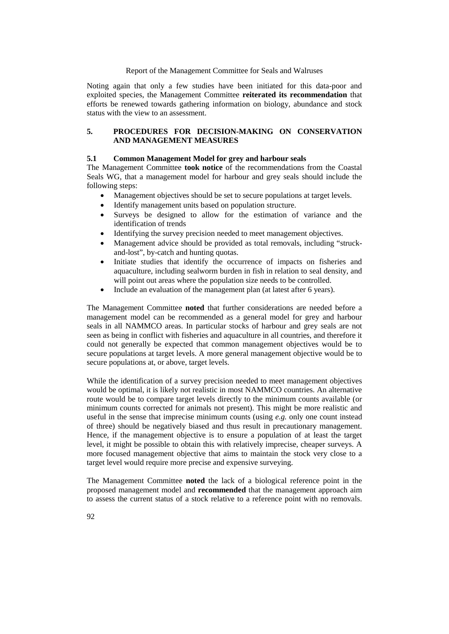Noting again that only a few studies have been initiated for this data-poor and exploited species, the Management Committee **reiterated its recommendation** that efforts be renewed towards gathering information on biology, abundance and stock status with the view to an assessment.

# **5. PROCEDURES FOR DECISION-MAKING ON CONSERVATION AND MANAGEMENT MEASURES**

## **5.1 Common Management Model for grey and harbour seals**

The Management Committee **took notice** of the recommendations from the Coastal Seals WG, that a management model for harbour and grey seals should include the following steps:

- Management objectives should be set to secure populations at target levels.
- Identify management units based on population structure.
- Surveys be designed to allow for the estimation of variance and the identification of trends
- Identifying the survey precision needed to meet management objectives.
- Management advice should be provided as total removals, including "struckand-lost", by-catch and hunting quotas.
- Initiate studies that identify the occurrence of impacts on fisheries and aquaculture, including sealworm burden in fish in relation to seal density, and will point out areas where the population size needs to be controlled.
- Include an evaluation of the management plan (at latest after 6 years).

The Management Committee **noted** that further considerations are needed before a management model can be recommended as a general model for grey and harbour seals in all NAMMCO areas. In particular stocks of harbour and grey seals are not seen as being in conflict with fisheries and aquaculture in all countries, and therefore it could not generally be expected that common management objectives would be to secure populations at target levels. A more general management objective would be to secure populations at, or above, target levels.

While the identification of a survey precision needed to meet management objectives would be optimal, it is likely not realistic in most NAMMCO countries. An alternative route would be to compare target levels directly to the minimum counts available (or minimum counts corrected for animals not present). This might be more realistic and useful in the sense that imprecise minimum counts (using *e.g.* only one count instead of three) should be negatively biased and thus result in precautionary management. Hence, if the management objective is to ensure a population of at least the target level, it might be possible to obtain this with relatively imprecise, cheaper surveys. A more focused management objective that aims to maintain the stock very close to a target level would require more precise and expensive surveying.

The Management Committee **noted** the lack of a biological reference point in the proposed management model and **recommended** that the management approach aim to assess the current status of a stock relative to a reference point with no removals.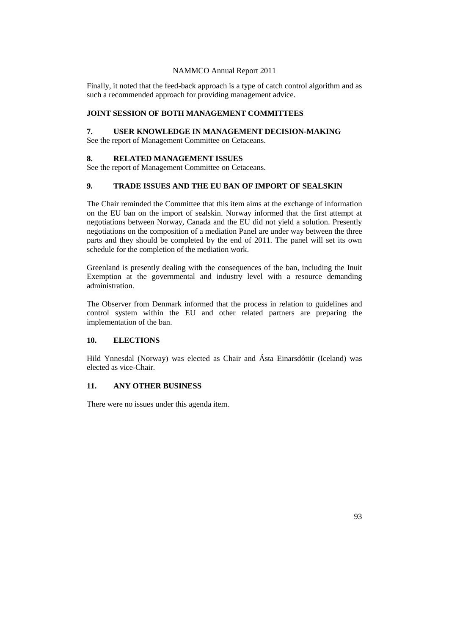Finally, it noted that the feed-back approach is a type of catch control algorithm and as such a recommended approach for providing management advice.

# **JOINT SESSION OF BOTH MANAGEMENT COMMITTEES**

# **7. USER KNOWLEDGE IN MANAGEMENT DECISION-MAKING**

See the report of Management Committee on Cetaceans.

## **8. RELATED MANAGEMENT ISSUES**

See the report of Management Committee on Cetaceans.

# **9. TRADE ISSUES AND THE EU BAN OF IMPORT OF SEALSKIN**

The Chair reminded the Committee that this item aims at the exchange of information on the EU ban on the import of sealskin. Norway informed that the first attempt at negotiations between Norway, Canada and the EU did not yield a solution. Presently negotiations on the composition of a mediation Panel are under way between the three parts and they should be completed by the end of 2011. The panel will set its own schedule for the completion of the mediation work.

Greenland is presently dealing with the consequences of the ban, including the Inuit Exemption at the governmental and industry level with a resource demanding administration.

The Observer from Denmark informed that the process in relation to guidelines and control system within the EU and other related partners are preparing the implementation of the ban.

## **10. ELECTIONS**

Hild Ynnesdal (Norway) was elected as Chair and Ásta Einarsdóttir (Iceland) was elected as vice-Chair.

# **11. ANY OTHER BUSINESS**

There were no issues under this agenda item.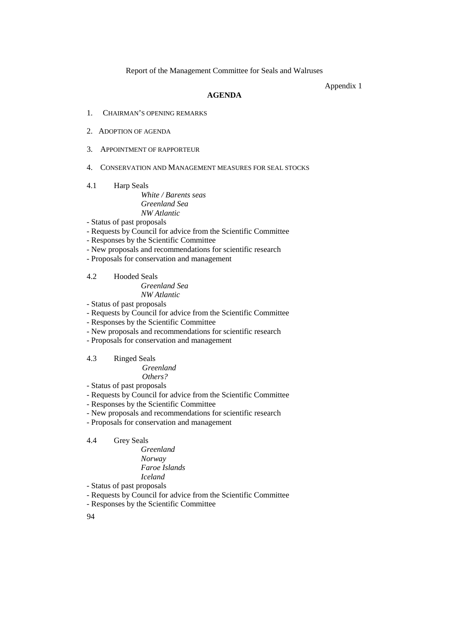Appendix 1

# **AGENDA**

- 1. CHAIRMAN'S OPENING REMARKS
- 2. ADOPTION OF AGENDA
- 3. APPOINTMENT OF RAPPORTEUR
- 4. CONSERVATION AND MANAGEMENT MEASURES FOR SEAL STOCKS
- 4.1 Harp Seals

# *White / Barents seas Greenland Sea NW Atlantic*

- Status of past proposals
- Requests by Council for advice from the Scientific Committee
- Responses by the Scientific Committee
- New proposals and recommendations for scientific research
- Proposals for conservation and management
- 4.2 Hooded Seals

*Greenland Sea NW Atlantic*

- Status of past proposals
- Requests by Council for advice from the Scientific Committee
- Responses by the Scientific Committee
- New proposals and recommendations for scientific research
- Proposals for conservation and management
- 4.3 Ringed Seals
	- *Greenland Others?*
- Status of past proposals
- Requests by Council for advice from the Scientific Committee
- Responses by the Scientific Committee
- New proposals and recommendations for scientific research
- Proposals for conservation and management

# 4.4 Grey Seals

*Greenland Norway Faroe Islands Iceland*

- Status of past proposals
- Requests by Council for advice from the Scientific Committee
- Responses by the Scientific Committee

94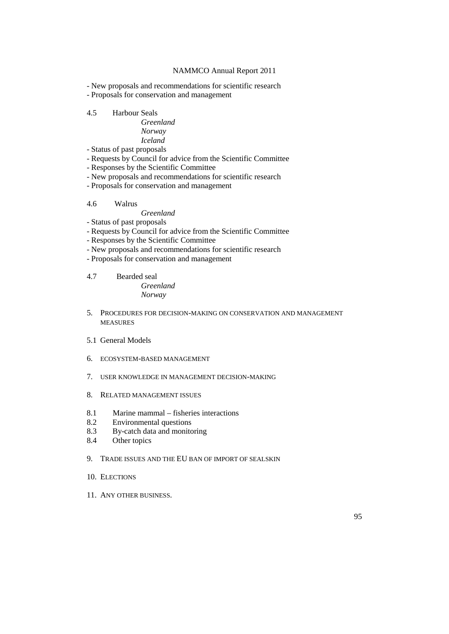- New proposals and recommendations for scientific research

- Proposals for conservation and management

## 4.5 Harbour Seals

| Greenland |
|-----------|
| Norway    |
| Iceland   |

- Status of past proposals
- Requests by Council for advice from the Scientific Committee
- Responses by the Scientific Committee
- New proposals and recommendations for scientific research
- Proposals for conservation and management

# 4.6 Walrus

# *Greenland*

- Status of past proposals
- Requests by Council for advice from the Scientific Committee
- Responses by the Scientific Committee
- New proposals and recommendations for scientific research
- Proposals for conservation and management

## 4.7 Bearded seal *Greenland Norway*

- 5. PROCEDURES FOR DECISION-MAKING ON CONSERVATION AND MANAGEMENT MEASURES
- 5.1 General Models
- 6. ECOSYSTEM-BASED MANAGEMENT
- 7. USER KNOWLEDGE IN MANAGEMENT DECISION-MAKING
- 8. RELATED MANAGEMENT ISSUES
- 8.1 Marine mammal fisheries interactions
- 8.2 Environmental questions
- 8.3 By-catch data and monitoring<br>8.4 Other topics
- Other topics

# 9. TRADE ISSUES AND THE EU BAN OF IMPORT OF SEALSKIN

- 10. ELECTIONS
- 11. ANY OTHER BUSINESS.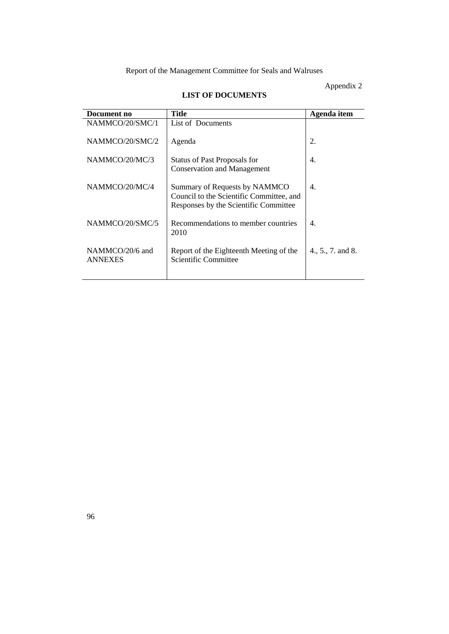# Appendix 2

# **LIST OF DOCUMENTS**

| Document no                       | <b>Title</b>                                                                                                       | Agenda item       |
|-----------------------------------|--------------------------------------------------------------------------------------------------------------------|-------------------|
| NAMMCO/20/SMC/1                   | List of Documents                                                                                                  |                   |
| NAMMCO/20/SMC/2                   | Agenda                                                                                                             | 2.                |
| NAMMCO/20/MC/3                    | <b>Status of Past Proposals for</b><br><b>Conservation and Management</b>                                          | 4.                |
| NAMMCO/20/MC/4                    | Summary of Requests by NAMMCO<br>Council to the Scientific Committee, and<br>Responses by the Scientific Committee | 4.                |
| NAMMCO/20/SMC/5                   | Recommendations to member countries<br>2010                                                                        | 4.                |
| NAMMCO/20/6 and<br><b>ANNEXES</b> | Report of the Eighteenth Meeting of the<br>Scientific Committee                                                    | 4., 5., 7. and 8. |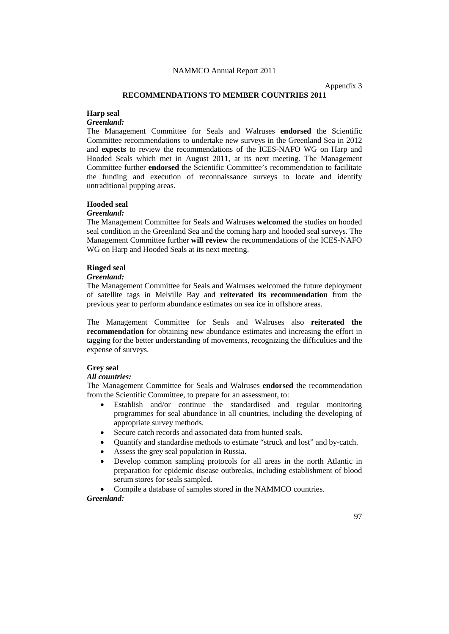Appendix 3

# **RECOMMENDATIONS TO MEMBER COUNTRIES 2011**

#### **Harp seal**

# *Greenland:*

The Management Committee for Seals and Walruses **endorsed** the Scientific Committee recommendations to undertake new surveys in the Greenland Sea in 2012 and **expects** to review the recommendations of the ICES-NAFO WG on Harp and Hooded Seals which met in August 2011, at its next meeting. The Management Committee further **endorsed** the Scientific Committee's recommendation to facilitate the funding and execution of reconnaissance surveys to locate and identify untraditional pupping areas.

# **Hooded seal**

## *Greenland:*

The Management Committee for Seals and Walruses **welcomed** the studies on hooded seal condition in the Greenland Sea and the coming harp and hooded seal surveys. The Management Committee further **will review** the recommendations of the ICES-NAFO WG on Harp and Hooded Seals at its next meeting.

## **Ringed seal**

#### *Greenland:*

The Management Committee for Seals and Walruses welcomed the future deployment of satellite tags in Melville Bay and **reiterated its recommendation** from the previous year to perform abundance estimates on sea ice in offshore areas.

The Management Committee for Seals and Walruses also **reiterated the recommendation** for obtaining new abundance estimates and increasing the effort in tagging for the better understanding of movements, recognizing the difficulties and the expense of surveys.

#### **Grey seal**

# *All countries:*

The Management Committee for Seals and Walruses **endorsed** the recommendation from the Scientific Committee, to prepare for an assessment, to:

- Establish and/or continue the standardised and regular monitoring programmes for seal abundance in all countries, including the developing of appropriate survey methods.
- Secure catch records and associated data from hunted seals.
- Quantify and standardise methods to estimate "struck and lost" and by-catch.
- Assess the grey seal population in Russia.
- Develop common sampling protocols for all areas in the north Atlantic in preparation for epidemic disease outbreaks, including establishment of blood serum stores for seals sampled.

• Compile a database of samples stored in the NAMMCO countries.

#### *Greenland:*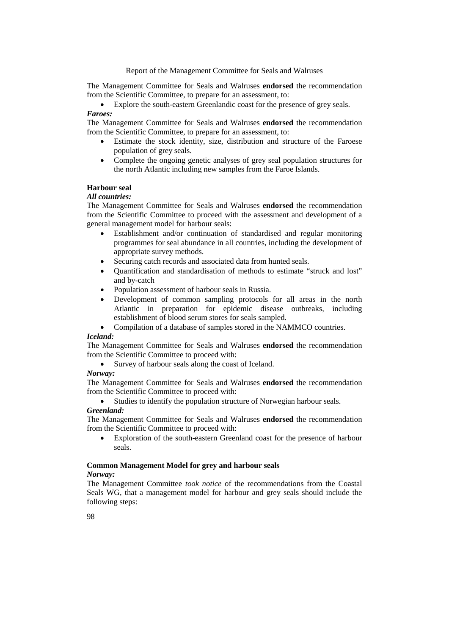The Management Committee for Seals and Walruses **endorsed** the recommendation from the Scientific Committee, to prepare for an assessment, to:

• Explore the south-eastern Greenlandic coast for the presence of grey seals. *Faroes:*

The Management Committee for Seals and Walruses **endorsed** the recommendation from the Scientific Committee, to prepare for an assessment, to:

- Estimate the stock identity, size, distribution and structure of the Faroese population of grey seals.
- Complete the ongoing genetic analyses of grey seal population structures for the north Atlantic including new samples from the Faroe Islands.

## **Harbour seal**

# *All countries:*

The Management Committee for Seals and Walruses **endorsed** the recommendation from the Scientific Committee to proceed with the assessment and development of a general management model for harbour seals:

- Establishment and/or continuation of standardised and regular monitoring programmes for seal abundance in all countries, including the development of appropriate survey methods.
- Securing catch records and associated data from hunted seals.
- Quantification and standardisation of methods to estimate "struck and lost" and by-catch
- Population assessment of harbour seals in Russia.
- Development of common sampling protocols for all areas in the north Atlantic in preparation for epidemic disease outbreaks, including establishment of blood serum stores for seals sampled.
- Compilation of a database of samples stored in the NAMMCO countries.

## *Iceland:*

The Management Committee for Seals and Walruses **endorsed** the recommendation from the Scientific Committee to proceed with:

• Survey of harbour seals along the coast of Iceland.

#### *Norway:*

The Management Committee for Seals and Walruses **endorsed** the recommendation from the Scientific Committee to proceed with:

• Studies to identify the population structure of Norwegian harbour seals.

#### *Greenland:*

The Management Committee for Seals and Walruses **endorsed** the recommendation from the Scientific Committee to proceed with:

• Exploration of the south-eastern Greenland coast for the presence of harbour seals.

# **Common Management Model for grey and harbour seals**

#### *Norway:*

The Management Committee *took notice* of the recommendations from the Coastal Seals WG, that a management model for harbour and grey seals should include the following steps: